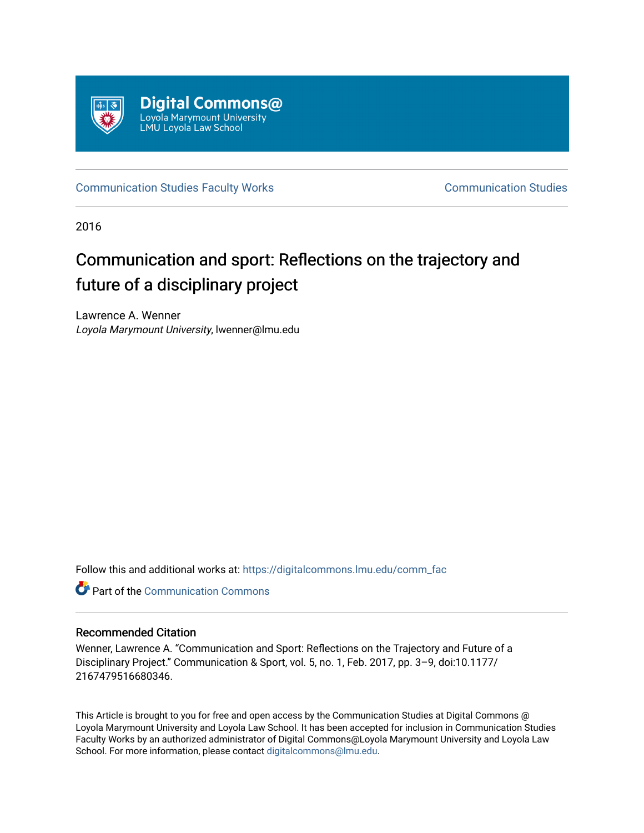

[Communication Studies Faculty Works](https://digitalcommons.lmu.edu/comm_fac) Communication Studies

2016

# Communication and sport: Reflections on the trajectory and future of a disciplinary project

Lawrence A. Wenner Loyola Marymount University, lwenner@lmu.edu

Follow this and additional works at: [https://digitalcommons.lmu.edu/comm\\_fac](https://digitalcommons.lmu.edu/comm_fac?utm_source=digitalcommons.lmu.edu%2Fcomm_fac%2F16&utm_medium=PDF&utm_campaign=PDFCoverPages) 

**C** Part of the Communication Commons

### Recommended Citation

Wenner, Lawrence A. "Communication and Sport: Reflections on the Trajectory and Future of a Disciplinary Project." Communication & Sport, vol. 5, no. 1, Feb. 2017, pp. 3–9, doi:10.1177/ 2167479516680346.

This Article is brought to you for free and open access by the Communication Studies at Digital Commons @ Loyola Marymount University and Loyola Law School. It has been accepted for inclusion in Communication Studies Faculty Works by an authorized administrator of Digital Commons@Loyola Marymount University and Loyola Law School. For more information, please contact [digitalcommons@lmu.edu.](mailto:digitalcommons@lmu.edu)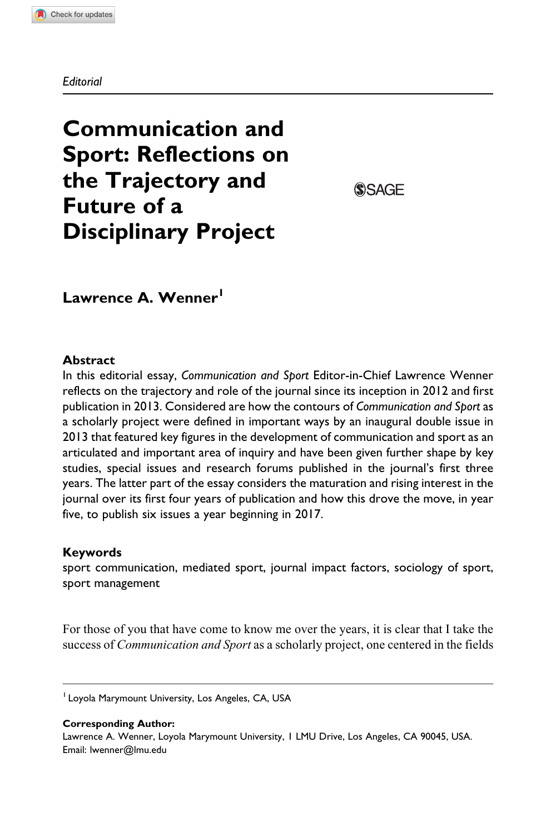#### **Editorial**

## Communication and Sport: Reflections on the Trajectory and Future of a Disciplinary Project

**SSAGE** 

Lawrence A. Wenner<sup>1</sup>

#### **Abstract**

In this editorial essay, Communication and Sport Editor-in-Chief Lawrence Wenner reflects on the trajectory and role of the journal since its inception in 2012 and first publication in 2013. Considered are how the contours of Communication and Sport as a scholarly project were defined in important ways by an inaugural double issue in 2013 that featured key figures in the development of communication and sport as an articulated and important area of inquiry and have been given further shape by key studies, special issues and research forums published in the journal's first three years. The latter part of the essay considers the maturation and rising interest in the journal over its first four years of publication and how this drove the move, in year five, to publish six issues a year beginning in 2017.

#### Keywords

sport communication, mediated sport, journal impact factors, sociology of sport, sport management

For those of you that have come to know me over the years, it is clear that I take the success of *Communication and Sport* as a scholarly project, one centered in the fields

<sup>1</sup> Loyola Marymount University, Los Angeles, CA, USA

Corresponding Author:

Lawrence A. Wenner, Loyola Marymount University, 1 LMU Drive, Los Angeles, CA 90045, USA. Email: lwenner@lmu.edu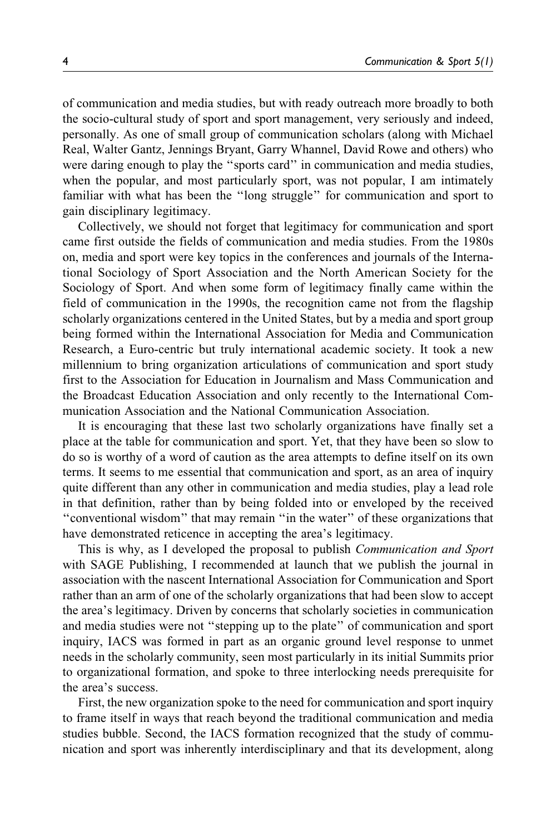of communication and media studies, but with ready outreach more broadly to both the socio-cultural study of sport and sport management, very seriously and indeed, personally. As one of small group of communication scholars (along with Michael Real, Walter Gantz, Jennings Bryant, Garry Whannel, David Rowe and others) who were daring enough to play the ''sports card'' in communication and media studies, when the popular, and most particularly sport, was not popular, I am intimately familiar with what has been the ''long struggle'' for communication and sport to gain disciplinary legitimacy.

Collectively, we should not forget that legitimacy for communication and sport came first outside the fields of communication and media studies. From the 1980s on, media and sport were key topics in the conferences and journals of the International Sociology of Sport Association and the North American Society for the Sociology of Sport. And when some form of legitimacy finally came within the field of communication in the 1990s, the recognition came not from the flagship scholarly organizations centered in the United States, but by a media and sport group being formed within the International Association for Media and Communication Research, a Euro-centric but truly international academic society. It took a new millennium to bring organization articulations of communication and sport study first to the Association for Education in Journalism and Mass Communication and the Broadcast Education Association and only recently to the International Communication Association and the National Communication Association.

It is encouraging that these last two scholarly organizations have finally set a place at the table for communication and sport. Yet, that they have been so slow to do so is worthy of a word of caution as the area attempts to define itself on its own terms. It seems to me essential that communication and sport, as an area of inquiry quite different than any other in communication and media studies, play a lead role in that definition, rather than by being folded into or enveloped by the received ''conventional wisdom'' that may remain ''in the water'' of these organizations that have demonstrated reticence in accepting the area's legitimacy.

This is why, as I developed the proposal to publish Communication and Sport with SAGE Publishing, I recommended at launch that we publish the journal in association with the nascent International Association for Communication and Sport rather than an arm of one of the scholarly organizations that had been slow to accept the area's legitimacy. Driven by concerns that scholarly societies in communication and media studies were not ''stepping up to the plate'' of communication and sport inquiry, IACS was formed in part as an organic ground level response to unmet needs in the scholarly community, seen most particularly in its initial Summits prior to organizational formation, and spoke to three interlocking needs prerequisite for the area's success.

First, the new organization spoke to the need for communication and sport inquiry to frame itself in ways that reach beyond the traditional communication and media studies bubble. Second, the IACS formation recognized that the study of communication and sport was inherently interdisciplinary and that its development, along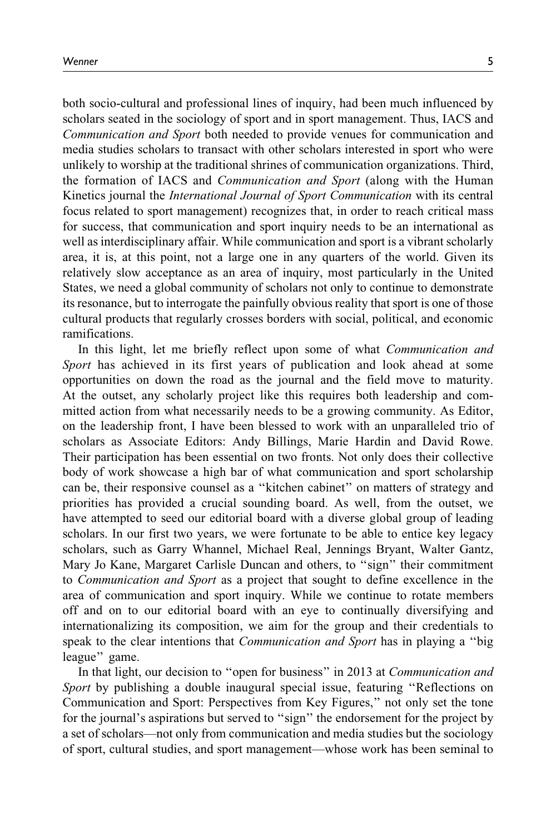both socio-cultural and professional lines of inquiry, had been much influenced by scholars seated in the sociology of sport and in sport management. Thus, IACS and Communication and Sport both needed to provide venues for communication and media studies scholars to transact with other scholars interested in sport who were unlikely to worship at the traditional shrines of communication organizations. Third, the formation of IACS and Communication and Sport (along with the Human Kinetics journal the *International Journal of Sport Communication* with its central focus related to sport management) recognizes that, in order to reach critical mass for success, that communication and sport inquiry needs to be an international as well as interdisciplinary affair. While communication and sport is a vibrant scholarly area, it is, at this point, not a large one in any quarters of the world. Given its relatively slow acceptance as an area of inquiry, most particularly in the United States, we need a global community of scholars not only to continue to demonstrate its resonance, but to interrogate the painfully obvious reality that sport is one of those cultural products that regularly crosses borders with social, political, and economic ramifications.

In this light, let me briefly reflect upon some of what *Communication and* Sport has achieved in its first years of publication and look ahead at some opportunities on down the road as the journal and the field move to maturity. At the outset, any scholarly project like this requires both leadership and committed action from what necessarily needs to be a growing community. As Editor, on the leadership front, I have been blessed to work with an unparalleled trio of scholars as Associate Editors: Andy Billings, Marie Hardin and David Rowe. Their participation has been essential on two fronts. Not only does their collective body of work showcase a high bar of what communication and sport scholarship can be, their responsive counsel as a ''kitchen cabinet'' on matters of strategy and priorities has provided a crucial sounding board. As well, from the outset, we have attempted to seed our editorial board with a diverse global group of leading scholars. In our first two years, we were fortunate to be able to entice key legacy scholars, such as Garry Whannel, Michael Real, Jennings Bryant, Walter Gantz, Mary Jo Kane, Margaret Carlisle Duncan and others, to ''sign'' their commitment to Communication and Sport as a project that sought to define excellence in the area of communication and sport inquiry. While we continue to rotate members off and on to our editorial board with an eye to continually diversifying and internationalizing its composition, we aim for the group and their credentials to speak to the clear intentions that *Communication and Sport* has in playing a "big league'' game.

In that light, our decision to "open for business" in 2013 at Communication and Sport by publishing a double inaugural special issue, featuring "Reflections on Communication and Sport: Perspectives from Key Figures,'' not only set the tone for the journal's aspirations but served to ''sign'' the endorsement for the project by a set of scholars—not only from communication and media studies but the sociology of sport, cultural studies, and sport management—whose work has been seminal to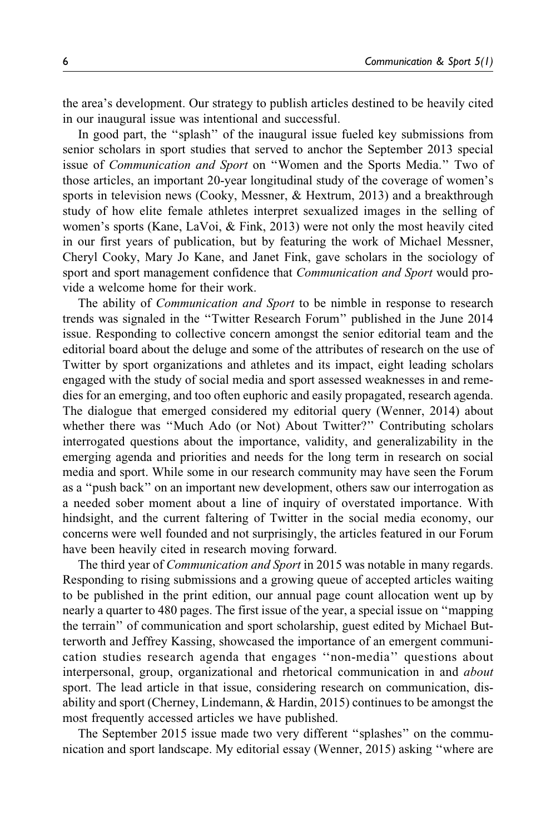the area's development. Our strategy to publish articles destined to be heavily cited in our inaugural issue was intentional and successful.

In good part, the ''splash'' of the inaugural issue fueled key submissions from senior scholars in sport studies that served to anchor the September 2013 special issue of Communication and Sport on ''Women and the Sports Media.'' Two of those articles, an important 20-year longitudinal study of the coverage of women's sports in television news (Cooky, Messner, & Hextrum, 2013) and a breakthrough study of how elite female athletes interpret sexualized images in the selling of women's sports (Kane, LaVoi, & Fink, 2013) were not only the most heavily cited in our first years of publication, but by featuring the work of Michael Messner, Cheryl Cooky, Mary Jo Kane, and Janet Fink, gave scholars in the sociology of sport and sport management confidence that Communication and Sport would provide a welcome home for their work.

The ability of *Communication and Sport* to be nimble in response to research trends was signaled in the ''Twitter Research Forum'' published in the June 2014 issue. Responding to collective concern amongst the senior editorial team and the editorial board about the deluge and some of the attributes of research on the use of Twitter by sport organizations and athletes and its impact, eight leading scholars engaged with the study of social media and sport assessed weaknesses in and remedies for an emerging, and too often euphoric and easily propagated, research agenda. The dialogue that emerged considered my editorial query (Wenner, 2014) about whether there was "Much Ado (or Not) About Twitter?" Contributing scholars interrogated questions about the importance, validity, and generalizability in the emerging agenda and priorities and needs for the long term in research on social media and sport. While some in our research community may have seen the Forum as a ''push back'' on an important new development, others saw our interrogation as a needed sober moment about a line of inquiry of overstated importance. With hindsight, and the current faltering of Twitter in the social media economy, our concerns were well founded and not surprisingly, the articles featured in our Forum have been heavily cited in research moving forward.

The third year of *Communication and Sport* in 2015 was notable in many regards. Responding to rising submissions and a growing queue of accepted articles waiting to be published in the print edition, our annual page count allocation went up by nearly a quarter to 480 pages. The first issue of the year, a special issue on ''mapping the terrain'' of communication and sport scholarship, guest edited by Michael Butterworth and Jeffrey Kassing, showcased the importance of an emergent communication studies research agenda that engages ''non-media'' questions about interpersonal, group, organizational and rhetorical communication in and about sport. The lead article in that issue, considering research on communication, disability and sport (Cherney, Lindemann, & Hardin, 2015) continues to be amongst the most frequently accessed articles we have published.

The September 2015 issue made two very different ''splashes'' on the communication and sport landscape. My editorial essay (Wenner, 2015) asking ''where are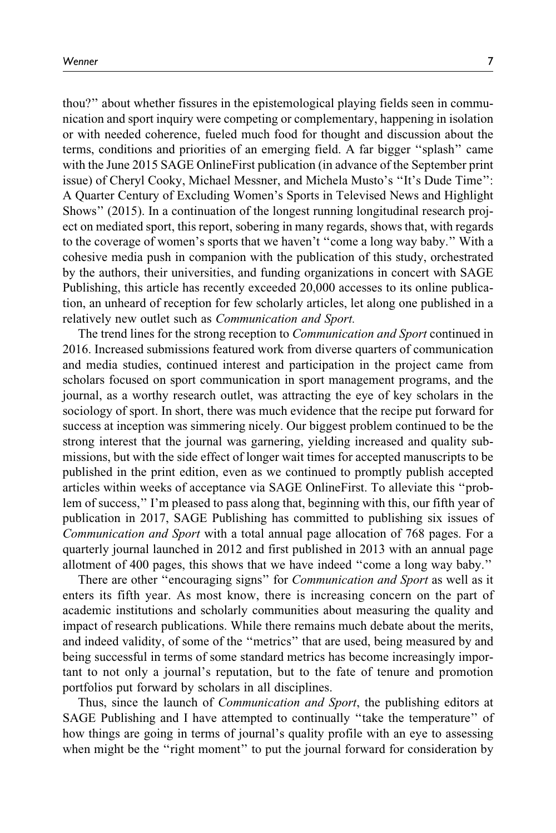thou?'' about whether fissures in the epistemological playing fields seen in communication and sport inquiry were competing or complementary, happening in isolation or with needed coherence, fueled much food for thought and discussion about the terms, conditions and priorities of an emerging field. A far bigger ''splash'' came with the June 2015 SAGE OnlineFirst publication (in advance of the September print issue) of Cheryl Cooky, Michael Messner, and Michela Musto's ''It's Dude Time'': A Quarter Century of Excluding Women's Sports in Televised News and Highlight Shows'' (2015). In a continuation of the longest running longitudinal research project on mediated sport, this report, sobering in many regards, shows that, with regards to the coverage of women's sports that we haven't ''come a long way baby.'' With a cohesive media push in companion with the publication of this study, orchestrated by the authors, their universities, and funding organizations in concert with SAGE Publishing, this article has recently exceeded 20,000 accesses to its online publication, an unheard of reception for few scholarly articles, let along one published in a relatively new outlet such as Communication and Sport.

The trend lines for the strong reception to *Communication and Sport* continued in 2016. Increased submissions featured work from diverse quarters of communication and media studies, continued interest and participation in the project came from scholars focused on sport communication in sport management programs, and the journal, as a worthy research outlet, was attracting the eye of key scholars in the sociology of sport. In short, there was much evidence that the recipe put forward for success at inception was simmering nicely. Our biggest problem continued to be the strong interest that the journal was garnering, yielding increased and quality submissions, but with the side effect of longer wait times for accepted manuscripts to be published in the print edition, even as we continued to promptly publish accepted articles within weeks of acceptance via SAGE OnlineFirst. To alleviate this ''problem of success,'' I'm pleased to pass along that, beginning with this, our fifth year of publication in 2017, SAGE Publishing has committed to publishing six issues of Communication and Sport with a total annual page allocation of 768 pages. For a quarterly journal launched in 2012 and first published in 2013 with an annual page allotment of 400 pages, this shows that we have indeed ''come a long way baby.''

There are other "encouraging signs" for *Communication and Sport* as well as it enters its fifth year. As most know, there is increasing concern on the part of academic institutions and scholarly communities about measuring the quality and impact of research publications. While there remains much debate about the merits, and indeed validity, of some of the ''metrics'' that are used, being measured by and being successful in terms of some standard metrics has become increasingly important to not only a journal's reputation, but to the fate of tenure and promotion portfolios put forward by scholars in all disciplines.

Thus, since the launch of *Communication and Sport*, the publishing editors at SAGE Publishing and I have attempted to continually ''take the temperature'' of how things are going in terms of journal's quality profile with an eye to assessing when might be the "right moment" to put the journal forward for consideration by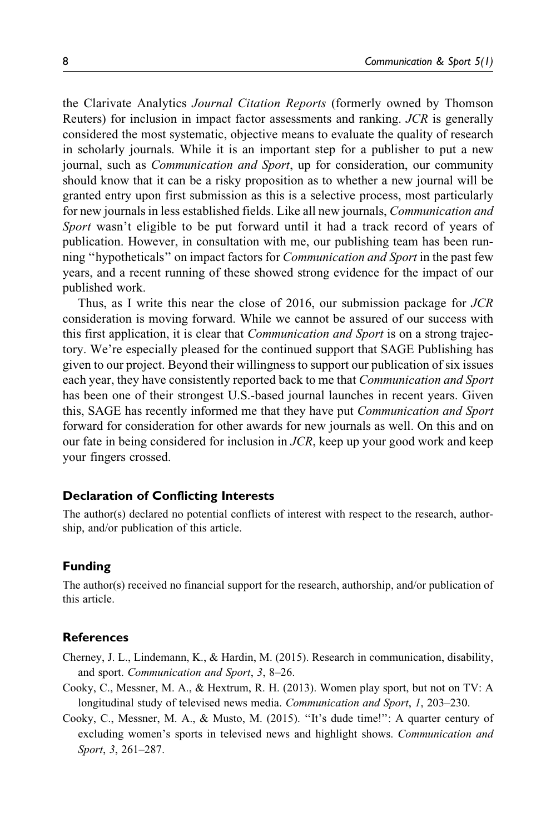the Clarivate Analytics Journal Citation Reports (formerly owned by Thomson Reuters) for inclusion in impact factor assessments and ranking. JCR is generally considered the most systematic, objective means to evaluate the quality of research in scholarly journals. While it is an important step for a publisher to put a new journal, such as *Communication and Sport*, up for consideration, our community should know that it can be a risky proposition as to whether a new journal will be granted entry upon first submission as this is a selective process, most particularly for new journals in less established fields. Like all new journals, Communication and Sport wasn't eligible to be put forward until it had a track record of years of publication. However, in consultation with me, our publishing team has been running ''hypotheticals'' on impact factors for Communication and Sport in the past few years, and a recent running of these showed strong evidence for the impact of our published work.

Thus, as I write this near the close of 2016, our submission package for JCR consideration is moving forward. While we cannot be assured of our success with this first application, it is clear that *Communication and Sport* is on a strong trajectory. We're especially pleased for the continued support that SAGE Publishing has given to our project. Beyond their willingness to support our publication of six issues each year, they have consistently reported back to me that Communication and Sport has been one of their strongest U.S.-based journal launches in recent years. Given this, SAGE has recently informed me that they have put Communication and Sport forward for consideration for other awards for new journals as well. On this and on our fate in being considered for inclusion in JCR, keep up your good work and keep your fingers crossed.

#### Declaration of Conflicting Interests

The author(s) declared no potential conflicts of interest with respect to the research, authorship, and/or publication of this article.

#### Funding

The author(s) received no financial support for the research, authorship, and/or publication of this article.

#### **References**

- Cherney, J. L., Lindemann, K., & Hardin, M. (2015). Research in communication, disability, and sport. Communication and Sport, 3, 8–26.
- Cooky, C., Messner, M. A., & Hextrum, R. H. (2013). Women play sport, but not on TV: A longitudinal study of televised news media. Communication and Sport, 1, 203-230.
- Cooky, C., Messner, M. A., & Musto, M. (2015). ''It's dude time!'': A quarter century of excluding women's sports in televised news and highlight shows. Communication and Sport, 3, 261–287.